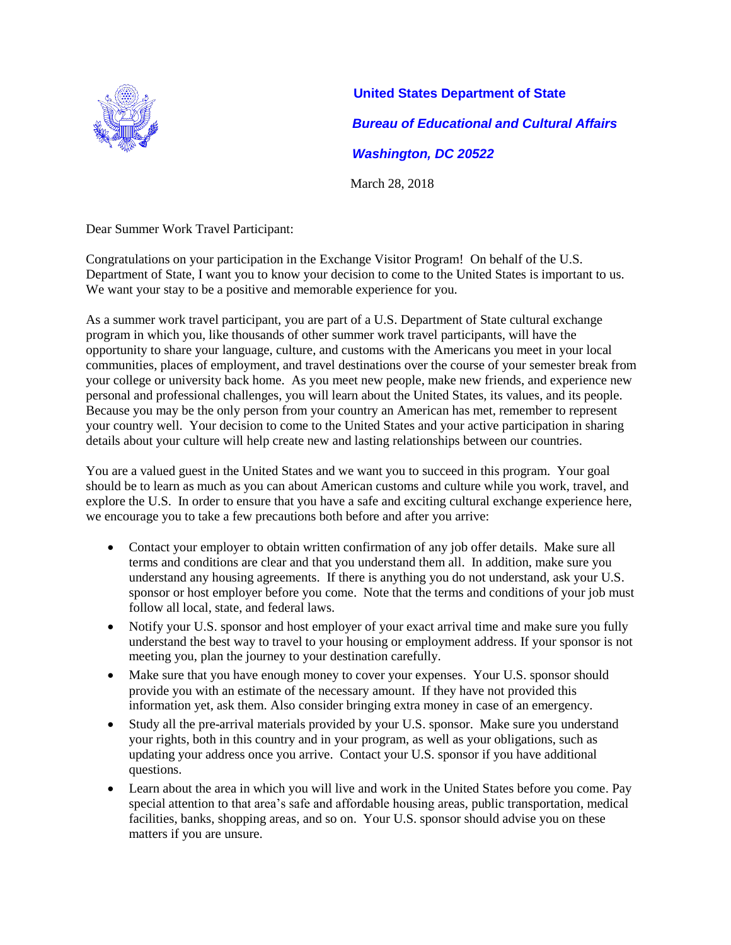

**United States Department of State** *Bureau of Educational and Cultural Affairs Washington, DC 20522* March 28, 2018

Dear Summer Work Travel Participant:

Congratulations on your participation in the Exchange Visitor Program! On behalf of the U.S. Department of State, I want you to know your decision to come to the United States is important to us. We want your stay to be a positive and memorable experience for you.

As a summer work travel participant, you are part of a U.S. Department of State cultural exchange program in which you, like thousands of other summer work travel participants, will have the opportunity to share your language, culture, and customs with the Americans you meet in your local communities, places of employment, and travel destinations over the course of your semester break from your college or university back home. As you meet new people, make new friends, and experience new personal and professional challenges, you will learn about the United States, its values, and its people. Because you may be the only person from your country an American has met, remember to represent your country well. Your decision to come to the United States and your active participation in sharing details about your culture will help create new and lasting relationships between our countries.

You are a valued guest in the United States and we want you to succeed in this program. Your goal should be to learn as much as you can about American customs and culture while you work, travel, and explore the U.S. In order to ensure that you have a safe and exciting cultural exchange experience here, we encourage you to take a few precautions both before and after you arrive:

- Contact your employer to obtain written confirmation of any job offer details. Make sure all terms and conditions are clear and that you understand them all. In addition, make sure you understand any housing agreements. If there is anything you do not understand, ask your U.S. sponsor or host employer before you come. Note that the terms and conditions of your job must follow all local, state, and federal laws.
- Notify your U.S. sponsor and host employer of your exact arrival time and make sure you fully understand the best way to travel to your housing or employment address. If your sponsor is not meeting you, plan the journey to your destination carefully.
- Make sure that you have enough money to cover your expenses. Your U.S. sponsor should provide you with an estimate of the necessary amount. If they have not provided this information yet, ask them. Also consider bringing extra money in case of an emergency.
- Study all the pre-arrival materials provided by your U.S. sponsor. Make sure you understand your rights, both in this country and in your program, as well as your obligations, such as updating your address once you arrive. Contact your U.S. sponsor if you have additional questions.
- Learn about the area in which you will live and work in the United States before you come. Pay special attention to that area's safe and affordable housing areas, public transportation, medical facilities, banks, shopping areas, and so on. Your U.S. sponsor should advise you on these matters if you are unsure.